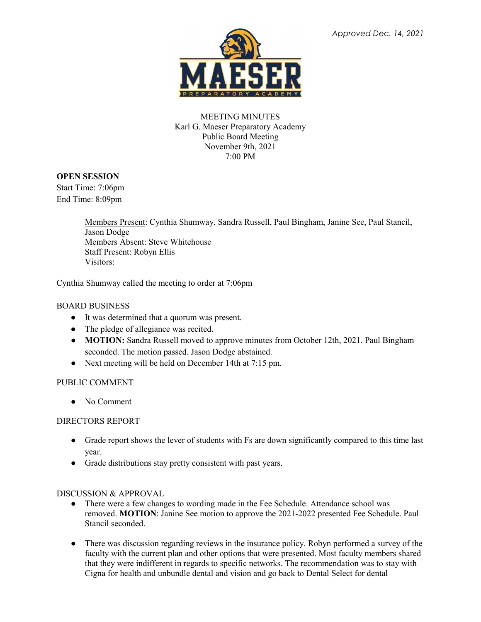

## MEETING MINUTES Karl G. Maeser Preparatory Academy Public Board Meeting November 9th, 2021 7:00 PM

## **OPEN SESSION**

Start Time: 7:06pm End Time: 8:09pm

> Members Present: Cynthia Shumway, Sandra Russell, Paul Bingham, Janine See, Paul Stancil, Jason Dodge Members Absent: Steve Whitehouse Staff Present: Robyn Ellis Visitors:

Cynthia Shumway called the meeting to order at 7:06pm

## BOARD BUSINESS

- It was determined that a quorum was present.
- The pledge of allegiance was recited.
- **MOTION:** Sandra Russell moved to approve minutes from October 12th, 2021. Paul Bingham seconded. The motion passed. Jason Dodge abstained.
- Next meeting will be held on December 14th at 7:15 pm.

# PUBLIC COMMENT

• No Comment

### DIRECTORS REPORT

- Grade report shows the lever of students with Fs are down significantly compared to this time last year.
- Grade distributions stay pretty consistent with past years.

### DISCUSSION & APPROVAL

- There were a few changes to wording made in the Fee Schedule. Attendance school was removed. **MOTION**: Janine See motion to approve the 2021-2022 presented Fee Schedule. Paul Stancil seconded.
- There was discussion regarding reviews in the insurance policy. Robyn performed a survey of the faculty with the current plan and other options that were presented. Most faculty members shared that they were indifferent in regards to specific networks. The recommendation was to stay with Cigna for health and unbundle dental and vision and go back to Dental Select for dental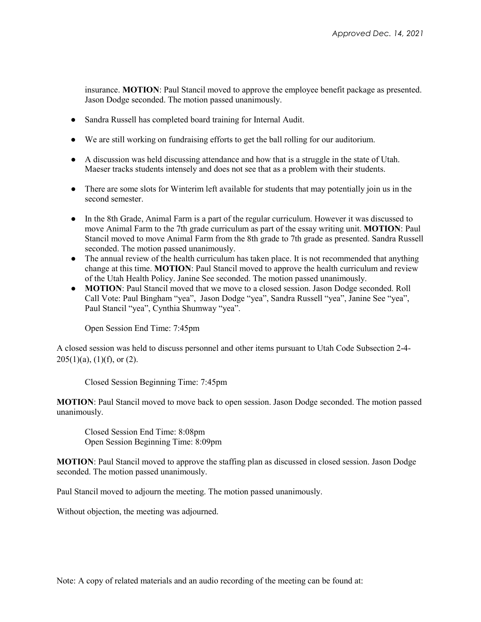insurance. **MOTION**: Paul Stancil moved to approve the employee benefit package as presented. Jason Dodge seconded. The motion passed unanimously.

- Sandra Russell has completed board training for Internal Audit.
- We are still working on fundraising efforts to get the ball rolling for our auditorium.
- A discussion was held discussing attendance and how that is a struggle in the state of Utah. Maeser tracks students intensely and does not see that as a problem with their students.
- There are some slots for Winterim left available for students that may potentially join us in the second semester.
- In the 8th Grade, Animal Farm is a part of the regular curriculum. However it was discussed to move Animal Farm to the 7th grade curriculum as part of the essay writing unit. **MOTION**: Paul Stancil moved to move Animal Farm from the 8th grade to 7th grade as presented. Sandra Russell seconded. The motion passed unanimously.
- The annual review of the health curriculum has taken place. It is not recommended that anything change at this time. **MOTION**: Paul Stancil moved to approve the health curriculum and review of the Utah Health Policy. Janine See seconded. The motion passed unanimously.
- **MOTION**: Paul Stancil moved that we move to a closed session. Jason Dodge seconded. Roll Call Vote: Paul Bingham "yea", Jason Dodge "yea", Sandra Russell "yea", Janine See "yea", Paul Stancil "yea", Cynthia Shumway "yea".

Open Session End Time: 7:45pm

A closed session was held to discuss personnel and other items pursuant to Utah Code Subsection 2-4-  $205(1)(a)$ ,  $(1)(f)$ , or  $(2)$ .

Closed Session Beginning Time: 7:45pm

**MOTION**: Paul Stancil moved to move back to open session. Jason Dodge seconded. The motion passed unanimously.

Closed Session End Time: 8:08pm Open Session Beginning Time: 8:09pm

**MOTION**: Paul Stancil moved to approve the staffing plan as discussed in closed session. Jason Dodge seconded. The motion passed unanimously.

Paul Stancil moved to adjourn the meeting. The motion passed unanimously.

Without objection, the meeting was adjourned.